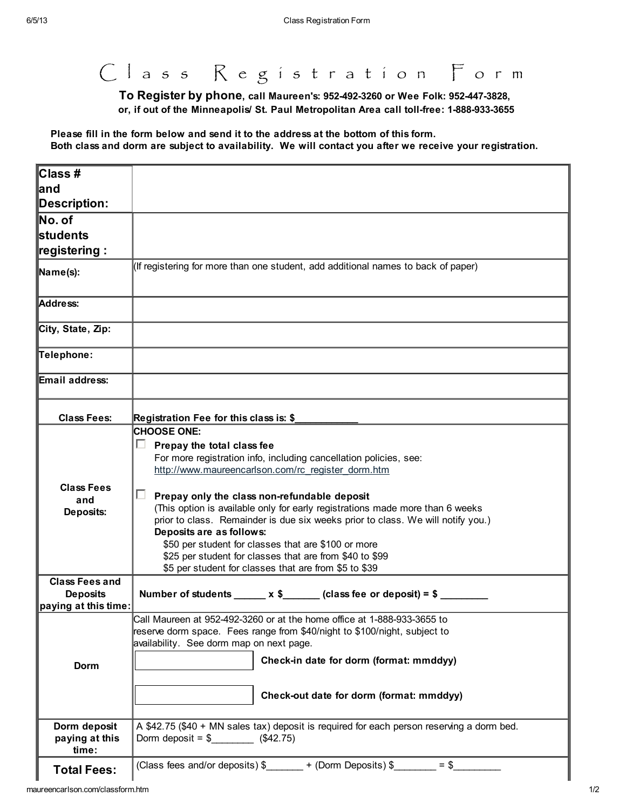C l a s s R e g i s t r a t i o n F o r m

To Register by phone, call Maureen's: 952-492-3260 or Wee Folk: 952-447-3828, or, if out of the Minneapolis/ St. Paul Metropolitan Area call toll-free: 1-888-933-3655

Please fill in the form below and send it to the address at the bottom of this form. Both class and dorm are subject to availability. We will contact you after we receive your registration.

| ∥Class #                                |                                                                                                                                                                                                                                                                                                                                                                                                                                                                                                                                                                                                                   |  |
|-----------------------------------------|-------------------------------------------------------------------------------------------------------------------------------------------------------------------------------------------------------------------------------------------------------------------------------------------------------------------------------------------------------------------------------------------------------------------------------------------------------------------------------------------------------------------------------------------------------------------------------------------------------------------|--|
| ∥and                                    |                                                                                                                                                                                                                                                                                                                                                                                                                                                                                                                                                                                                                   |  |
| Description:                            |                                                                                                                                                                                                                                                                                                                                                                                                                                                                                                                                                                                                                   |  |
| $\mathsf{\mathbb{N}}$ o. of             |                                                                                                                                                                                                                                                                                                                                                                                                                                                                                                                                                                                                                   |  |
| <b>l</b> students                       |                                                                                                                                                                                                                                                                                                                                                                                                                                                                                                                                                                                                                   |  |
| ∥registering :                          |                                                                                                                                                                                                                                                                                                                                                                                                                                                                                                                                                                                                                   |  |
| Name(s):                                | (If registering for more than one student, add additional names to back of paper)                                                                                                                                                                                                                                                                                                                                                                                                                                                                                                                                 |  |
| Address:                                |                                                                                                                                                                                                                                                                                                                                                                                                                                                                                                                                                                                                                   |  |
| City, State, Zip:                       |                                                                                                                                                                                                                                                                                                                                                                                                                                                                                                                                                                                                                   |  |
| Telephone:                              |                                                                                                                                                                                                                                                                                                                                                                                                                                                                                                                                                                                                                   |  |
| Email address:                          |                                                                                                                                                                                                                                                                                                                                                                                                                                                                                                                                                                                                                   |  |
| <b>Class Fees:</b>                      | Registration Fee for this class is: \$                                                                                                                                                                                                                                                                                                                                                                                                                                                                                                                                                                            |  |
| <b>Class Fees</b><br>and<br>Deposits:   | <b>CHOOSE ONE:</b><br>ш<br>Prepay the total class fee<br>For more registration info, including cancellation policies, see:<br>http://www.maureencarlson.com/rc_register_dorm.htm<br>П.<br>Prepay only the class non-refundable deposit<br>(This option is available only for early registrations made more than 6 weeks<br>prior to class. Remainder is due six weeks prior to class. We will notify you.)<br>Deposits are as follows:<br>\$50 per student for classes that are \$100 or more<br>\$25 per student for classes that are from \$40 to \$99<br>\$5 per student for classes that are from \$5 to \$39 |  |
| <b>Class Fees and</b>                   |                                                                                                                                                                                                                                                                                                                                                                                                                                                                                                                                                                                                                   |  |
| <b>Deposits</b>                         | Number of students ______ x \$______ (class fee or deposit) = $\frac{1}{2}$                                                                                                                                                                                                                                                                                                                                                                                                                                                                                                                                       |  |
| paying at this time:<br>Dorm            | Call Maureen at 952-492-3260 or at the home office at 1-888-933-3655 to<br>reserve dorm space. Fees range from \$40/night to \$100/night, subject to<br>availability. See dorm map on next page.<br>Check-in date for dorm (format: mmddyy)<br>Check-out date for dorm (format: mmddyy)                                                                                                                                                                                                                                                                                                                           |  |
| Dorm deposit<br>paying at this<br>time: | A \$42.75 (\$40 + MN sales tax) deposit is required for each person reserving a dorm bed.<br>Dorm deposit = $\frac{1}{2}$ (\$42.75)                                                                                                                                                                                                                                                                                                                                                                                                                                                                               |  |
| <b>Total Fees:</b>                      | (Class fees and/or deposits) $\frac{1}{2}$ + (Dorm Deposits) $\frac{1}{2}$ = $\frac{1}{2}$                                                                                                                                                                                                                                                                                                                                                                                                                                                                                                                        |  |